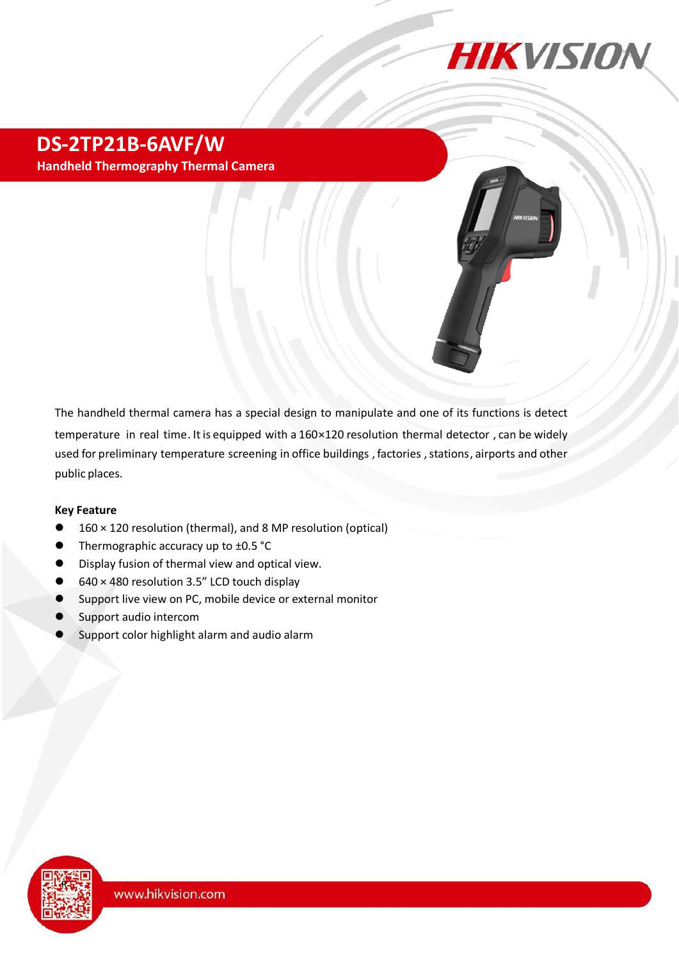

## **DS-2TP21B-6AVF/W Handheld Thermography Thermal Camera**

The thermal camera has a special design to manipulate and one of its functions is detect temperature in real time . It is equipped with a 160 × 120 resolution thermal detector, can be widely used for preliminary temperature screening to the maintenance in office buildings , factories , stations , airports, etc.

#### **Key Feature**

**Camera**

- 160 × 120 resolution (thermal), and 8 MP resolution (optical)
- Thermographic accuracy up to ±0.5 °C
- Display fusion of thermal view and optical view.
- 640 × 480 resolution 3.5" LCD touch display
- Support live view on PC, mobile device or external monitor
- Support audio intercom
- Support color highlight alarm and audio alarm

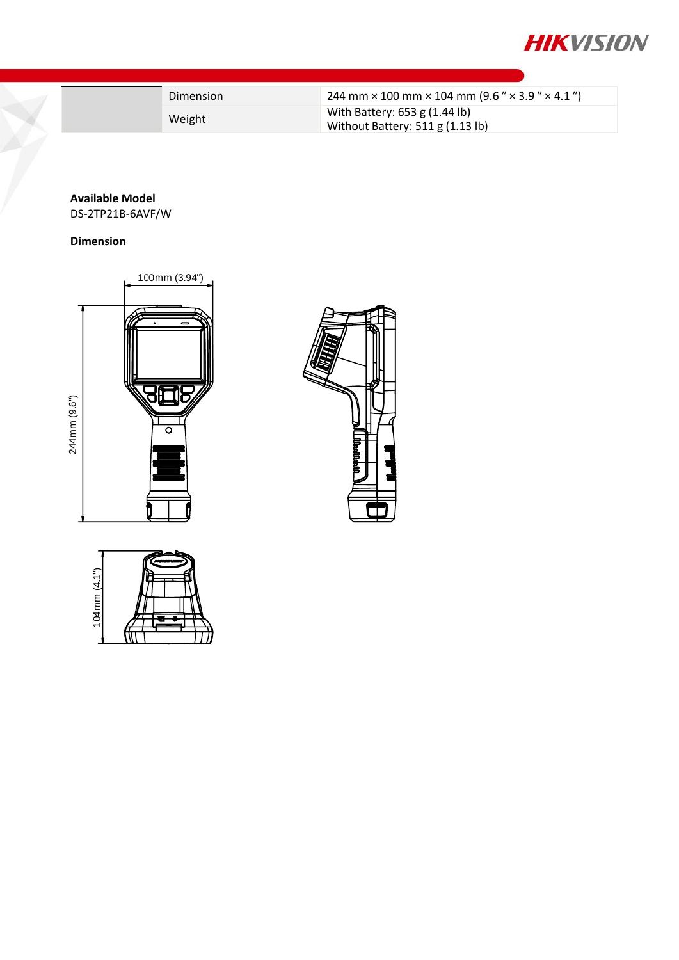

|  | Dimension | 244 mm $\times$ 100 mm $\times$ 104 mm (9.6 " $\times$ 3.9 " $\times$ 4.1 ") |
|--|-----------|------------------------------------------------------------------------------|
|  | Weight    | With Battery: 653 g (1.44 lb)<br>Without Battery: 511 g (1.13 lb)            |

### **Available Model**

DS-2TP21B-6AVF/W

#### **Dimension**